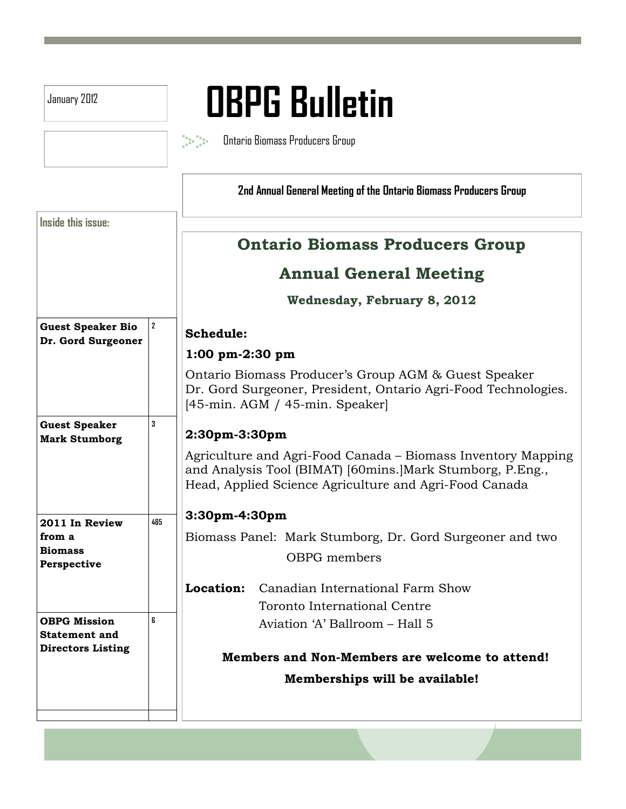| January 2012                                              |                | <b>OBPG Bulletin</b>                                                                                                                                                                                                     |  |  |  |
|-----------------------------------------------------------|----------------|--------------------------------------------------------------------------------------------------------------------------------------------------------------------------------------------------------------------------|--|--|--|
|                                                           |                |                                                                                                                                                                                                                          |  |  |  |
|                                                           |                | Ontario Biomass Producers Group                                                                                                                                                                                          |  |  |  |
|                                                           |                | 2nd Annual General Meeting of the Ontario Biomass Producers Group                                                                                                                                                        |  |  |  |
| Inside this issue:                                        |                |                                                                                                                                                                                                                          |  |  |  |
|                                                           |                | <b>Ontario Biomass Producers Group</b>                                                                                                                                                                                   |  |  |  |
|                                                           |                | <b>Annual General Meeting</b>                                                                                                                                                                                            |  |  |  |
|                                                           |                | <b>Wednesday, February 8, 2012</b>                                                                                                                                                                                       |  |  |  |
| <b>Guest Speaker Bio</b><br>Dr. Gord Surgeoner            | $\overline{2}$ | Schedule:                                                                                                                                                                                                                |  |  |  |
|                                                           |                | $1:00 \text{ pm-}2:30 \text{ pm}$                                                                                                                                                                                        |  |  |  |
|                                                           |                | Ontario Biomass Producer's Group AGM & Guest Speaker<br>Dr. Gord Surgeoner, President, Ontario Agri-Food Technologies.<br>$[45$ -min. AGM / 45-min. Speaker                                                              |  |  |  |
| <b>Guest Speaker</b><br><b>Mark Stumborg</b>              | 3              | 2:30pm-3:30pm<br>Agriculture and Agri-Food Canada – Biomass Inventory Mapping<br>and Analysis Tool (BIMAT) [60mins.] Mark Stumborg, P.Eng.,<br>Head, Applied Science Agriculture and Agri-Food Canada<br>$3:30pm-4:30pm$ |  |  |  |
|                                                           |                |                                                                                                                                                                                                                          |  |  |  |
|                                                           | 485            |                                                                                                                                                                                                                          |  |  |  |
| 2011 In Review<br>from a<br><b>Biomass</b><br>Perspective |                | Biomass Panel: Mark Stumborg, Dr. Gord Surgeoner and two                                                                                                                                                                 |  |  |  |
|                                                           |                | OBPG members                                                                                                                                                                                                             |  |  |  |
|                                                           |                | Canadian International Farm Show<br>Location:                                                                                                                                                                            |  |  |  |
|                                                           |                | Toronto International Centre                                                                                                                                                                                             |  |  |  |
| <b>OBPG Mission</b><br><b>Statement and</b>               | 6              | Aviation 'A' Ballroom - Hall 5                                                                                                                                                                                           |  |  |  |
| <b>Directors Listing</b>                                  |                | Members and Non-Members are welcome to attend!                                                                                                                                                                           |  |  |  |
|                                                           |                | Memberships will be available!                                                                                                                                                                                           |  |  |  |
|                                                           |                |                                                                                                                                                                                                                          |  |  |  |
|                                                           |                |                                                                                                                                                                                                                          |  |  |  |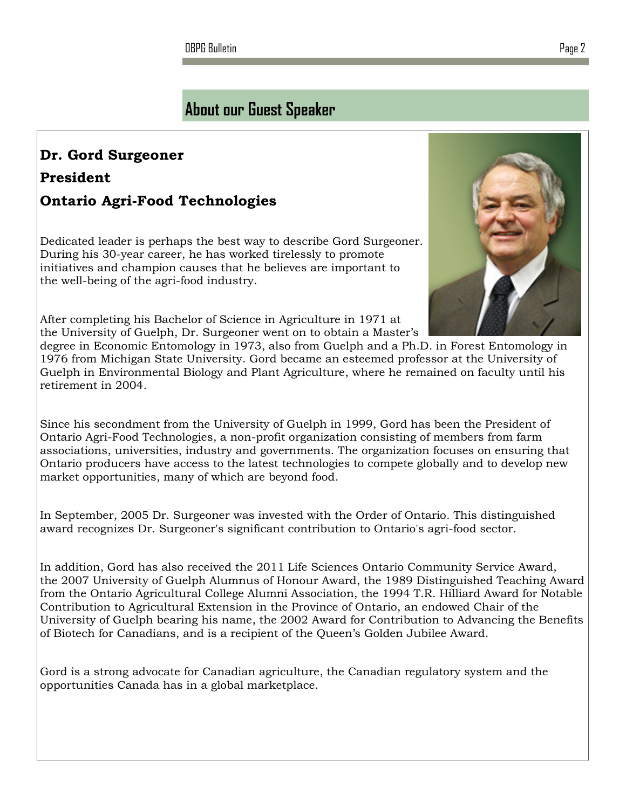OBPG Bulletin Page 2

## About our Guest Speaker

## Dr. Gord Surgeoner President Ontario Agri-Food Technologies

Dedicated leader is perhaps the best way to describe Gord Surgeoner. During his 30-year career, he has worked tirelessly to promote initiatives and champion causes that he believes are important to the well-being of the agri-food industry.

After completing his Bachelor of Science in Agriculture in 1971 at the University of Guelph, Dr. Surgeoner went on to obtain a Master's

degree in Economic Entomology in 1973, also from Guelph and a Ph.D. in Forest Entomology in 1976 from Michigan State University. Gord became an esteemed professor at the University of Guelph in Environmental Biology and Plant Agriculture, where he remained on faculty until his retirement in 2004.

Since his secondment from the University of Guelph in 1999, Gord has been the President of Ontario Agri-Food Technologies, a non-profit organization consisting of members from farm associations, universities, industry and governments. The organization focuses on ensuring that Ontario producers have access to the latest technologies to compete globally and to develop new market opportunities, many of which are beyond food.

In September, 2005 Dr. Surgeoner was invested with the Order of Ontario. This distinguished award recognizes Dr. Surgeoner's significant contribution to Ontario's agri-food sector.

In addition, Gord has also received the 2011 Life Sciences Ontario Community Service Award, the 2007 University of Guelph Alumnus of Honour Award, the 1989 Distinguished Teaching Award from the Ontario Agricultural College Alumni Association, the 1994 T.R. Hilliard Award for Notable Contribution to Agricultural Extension in the Province of Ontario, an endowed Chair of the University of Guelph bearing his name, the 2002 Award for Contribution to Advancing the Benefits of Biotech for Canadians, and is a recipient of the Queen's Golden Jubilee Award.

Gord is a strong advocate for Canadian agriculture, the Canadian regulatory system and the opportunities Canada has in a global marketplace.

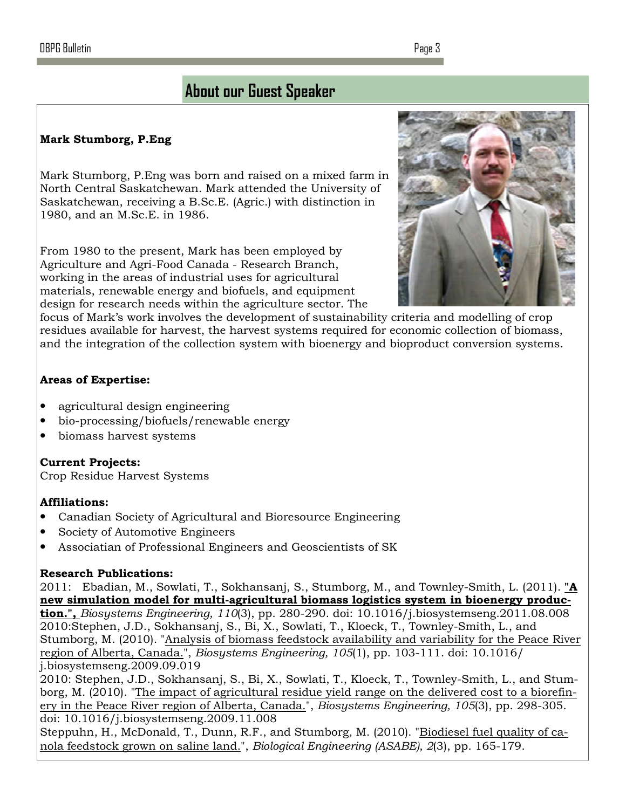### Mark Stumborg, P.Eng

Mark Stumborg, P.Eng was born and raised on a mixed farm in North Central Saskatchewan. Mark attended the University of Saskatchewan, receiving a B.Sc.E. (Agric.) with distinction in 1980, and an M.Sc.E. in 1986.

From 1980 to the present, Mark has been employed by Agriculture and Agri-Food Canada - Research Branch, working in the areas of industrial uses for agricultural materials, renewable energy and biofuels, and equipment design for research needs within the agriculture sector. The



focus of Mark's work involves the development of sustainability criteria and modelling of crop residues available for harvest, the harvest systems required for economic collection of biomass, and the integration of the collection system with bioenergy and bioproduct conversion systems.

### Areas of Expertise:

- agricultural design engineering
- bio-processing/biofuels/renewable energy
- biomass harvest systems

#### Current Projects:

Crop Residue Harvest Systems

### Affiliations:

- Canadian Society of Agricultural and Bioresource Engineering
- Society of Automotive Engineers
- Associatian of Professional Engineers and Geoscientists of SK

#### Research Publications:

2011: Ebadian, M., Sowlati, T., Sokhansanj, S., Stumborg, M., and Townley-Smith, L. (2011). " $\mathbf{A}$ new simulation model for multi-agricultural biomass logistics system in bioenergy produc**tion.",** Biosystems Engineering,  $110(3)$ , pp. 280-290. doi:  $10.1016/j$ .biosystemseng.2011.08.008 2010:Stephen, J.D., Sokhansanj, S., Bi, X., Sowlati, T., Kloeck, T., Townley-Smith, L., and Stumborg, M. (2010). "Analysis of biomass feedstock availability and variability for the Peace River region of Alberta, Canada.", Biosystems Engineering, 105(1), pp. 103-111. doi: 10.1016/ j.biosystemseng.2009.09.019

2010: Stephen, J.D., Sokhansanj, S., Bi, X., Sowlati, T., Kloeck, T., Townley-Smith, L., and Stumborg, M. (2010). "The impact of agricultural residue yield range on the delivered cost to a biorefinery in the Peace River region of Alberta, Canada.", Biosystems Engineering, 105(3), pp. 298-305. doi: 10.1016/j.biosystemseng.2009.11.008

Steppuhn, H., McDonald, T., Dunn, R.F., and Stumborg, M. (2010). "Biodiesel fuel quality of canola feedstock grown on saline land.", Biological Engineering (ASABE), 2(3), pp. 165-179.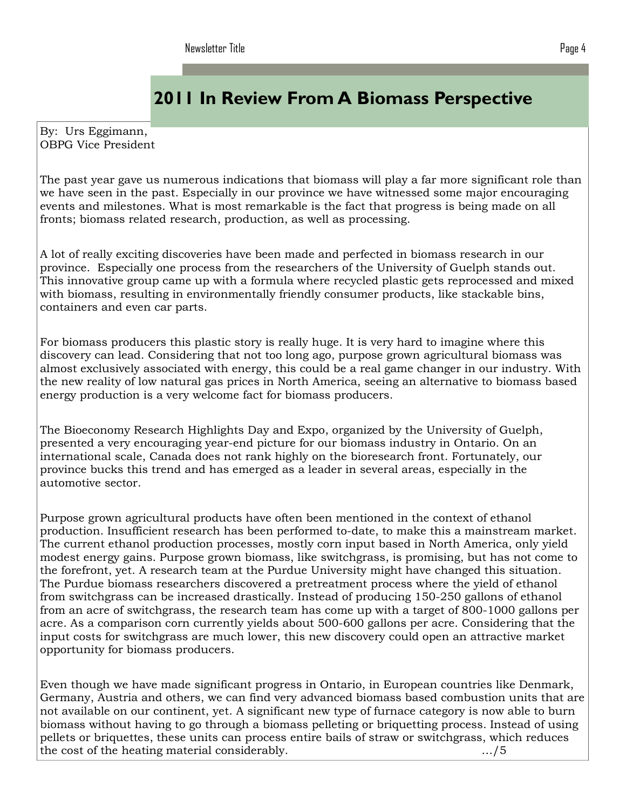# 2011 In Review From A Biomass Perspective

By: Urs Eggimann, OBPG Vice President

The past year gave us numerous indications that biomass will play a far more significant role than we have seen in the past. Especially in our province we have witnessed some major encouraging events and milestones. What is most remarkable is the fact that progress is being made on all fronts; biomass related research, production, as well as processing.

A lot of really exciting discoveries have been made and perfected in biomass research in our province. Especially one process from the researchers of the University of Guelph stands out. This innovative group came up with a formula where recycled plastic gets reprocessed and mixed with biomass, resulting in environmentally friendly consumer products, like stackable bins, containers and even car parts.

For biomass producers this plastic story is really huge. It is very hard to imagine where this discovery can lead. Considering that not too long ago, purpose grown agricultural biomass was almost exclusively associated with energy, this could be a real game changer in our industry. With the new reality of low natural gas prices in North America, seeing an alternative to biomass based energy production is a very welcome fact for biomass producers.

The Bioeconomy Research Highlights Day and Expo, organized by the University of Guelph, presented a very encouraging year-end picture for our biomass industry in Ontario. On an international scale, Canada does not rank highly on the bioresearch front. Fortunately, our province bucks this trend and has emerged as a leader in several areas, especially in the automotive sector.

Purpose grown agricultural products have often been mentioned in the context of ethanol production. Insufficient research has been performed to-date, to make this a mainstream market. The current ethanol production processes, mostly corn input based in North America, only yield modest energy gains. Purpose grown biomass, like switchgrass, is promising, but has not come to the forefront, yet. A research team at the Purdue University might have changed this situation. The Purdue biomass researchers discovered a pretreatment process where the yield of ethanol from switchgrass can be increased drastically. Instead of producing 150-250 gallons of ethanol from an acre of switchgrass, the research team has come up with a target of 800-1000 gallons per acre. As a comparison corn currently yields about 500-600 gallons per acre. Considering that the input costs for switchgrass are much lower, this new discovery could open an attractive market opportunity for biomass producers.

Even though we have made significant progress in Ontario, in European countries like Denmark, Germany, Austria and others, we can find very advanced biomass based combustion units that are not available on our continent, yet. A significant new type of furnace category is now able to burn biomass without having to go through a biomass pelleting or briquetting process. Instead of using pellets or briquettes, these units can process entire bails of straw or switchgrass, which reduces the cost of the heating material considerably. …/5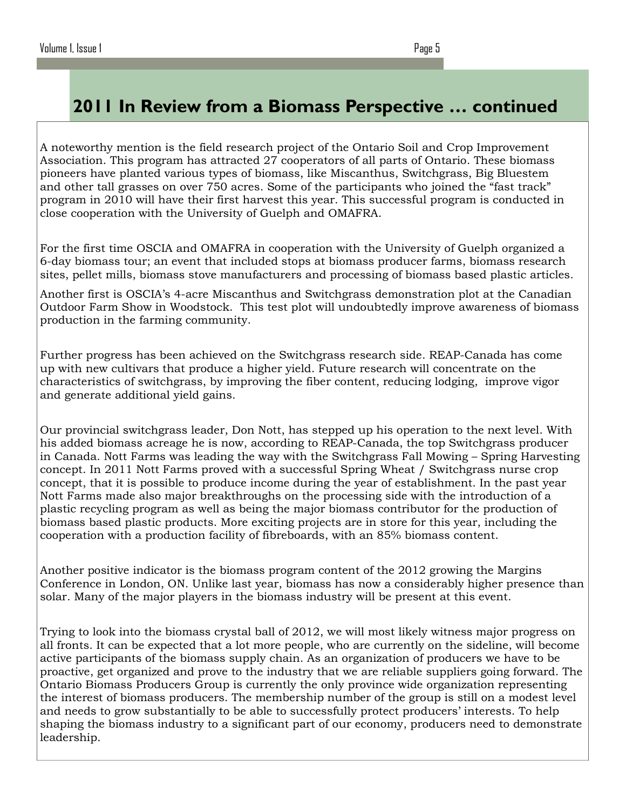## 2011 In Review from a Biomass Perspective … continued

A noteworthy mention is the field research project of the Ontario Soil and Crop Improvement Association. This program has attracted 27 cooperators of all parts of Ontario. These biomass pioneers have planted various types of biomass, like Miscanthus, Switchgrass, Big Bluestem and other tall grasses on over 750 acres. Some of the participants who joined the "fast track" program in 2010 will have their first harvest this year. This successful program is conducted in close cooperation with the University of Guelph and OMAFRA.

For the first time OSCIA and OMAFRA in cooperation with the University of Guelph organized a 6-day biomass tour; an event that included stops at biomass producer farms, biomass research sites, pellet mills, biomass stove manufacturers and processing of biomass based plastic articles.

Another first is OSCIA's 4-acre Miscanthus and Switchgrass demonstration plot at the Canadian Outdoor Farm Show in Woodstock. This test plot will undoubtedly improve awareness of biomass production in the farming community.

Further progress has been achieved on the Switchgrass research side. REAP-Canada has come up with new cultivars that produce a higher yield. Future research will concentrate on the characteristics of switchgrass, by improving the fiber content, reducing lodging, improve vigor and generate additional yield gains.

Our provincial switchgrass leader, Don Nott, has stepped up his operation to the next level. With his added biomass acreage he is now, according to REAP-Canada, the top Switchgrass producer in Canada. Nott Farms was leading the way with the Switchgrass Fall Mowing – Spring Harvesting concept. In 2011 Nott Farms proved with a successful Spring Wheat / Switchgrass nurse crop concept, that it is possible to produce income during the year of establishment. In the past year Nott Farms made also major breakthroughs on the processing side with the introduction of a plastic recycling program as well as being the major biomass contributor for the production of biomass based plastic products. More exciting projects are in store for this year, including the cooperation with a production facility of fibreboards, with an 85% biomass content.

Another positive indicator is the biomass program content of the 2012 growing the Margins Conference in London, ON. Unlike last year, biomass has now a considerably higher presence than solar. Many of the major players in the biomass industry will be present at this event.

Trying to look into the biomass crystal ball of 2012, we will most likely witness major progress on all fronts. It can be expected that a lot more people, who are currently on the sideline, will become active participants of the biomass supply chain. As an organization of producers we have to be proactive, get organized and prove to the industry that we are reliable suppliers going forward. The Ontario Biomass Producers Group is currently the only province wide organization representing the interest of biomass producers. The membership number of the group is still on a modest level and needs to grow substantially to be able to successfully protect producers' interests. To help shaping the biomass industry to a significant part of our economy, producers need to demonstrate leadership.